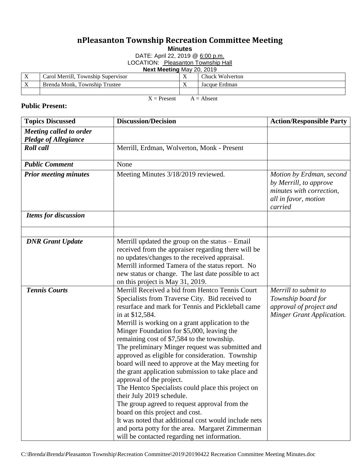## **nPleasanton Township Recreation Committee Meeting**

**Minutes**

DATE: April 22, 2019 @ 6:00 p.m.

LOCATION: Pleasanton Township Hall

**Next Meeting** May 20, 2019

|     | Carol Merrill, Township Supervisor    | . . | <b>Chuck Wolverton</b> |
|-----|---------------------------------------|-----|------------------------|
| . . | Township '<br>Brenda Monk.<br>Trustee | . . | Jacque Erdman          |
|     |                                       |     |                        |

 $X =$  Present  $A =$  Absent

## **Public Present:**

| <b>Topics Discussed</b>                                | <b>Discussion/Decision</b>                                                                                                                                                                                                                                                                                                                                                                                                                                                                                                                                                                                                                                                                                                                                                                                                                                                                                   | <b>Action/Responsible Party</b>                                                                                   |
|--------------------------------------------------------|--------------------------------------------------------------------------------------------------------------------------------------------------------------------------------------------------------------------------------------------------------------------------------------------------------------------------------------------------------------------------------------------------------------------------------------------------------------------------------------------------------------------------------------------------------------------------------------------------------------------------------------------------------------------------------------------------------------------------------------------------------------------------------------------------------------------------------------------------------------------------------------------------------------|-------------------------------------------------------------------------------------------------------------------|
| Meeting called to order<br><b>Pledge of Allegiance</b> |                                                                                                                                                                                                                                                                                                                                                                                                                                                                                                                                                                                                                                                                                                                                                                                                                                                                                                              |                                                                                                                   |
| <b>Roll</b> call                                       | Merrill, Erdman, Wolverton, Monk - Present                                                                                                                                                                                                                                                                                                                                                                                                                                                                                                                                                                                                                                                                                                                                                                                                                                                                   |                                                                                                                   |
| <b>Public Comment</b>                                  | None                                                                                                                                                                                                                                                                                                                                                                                                                                                                                                                                                                                                                                                                                                                                                                                                                                                                                                         |                                                                                                                   |
| <b>Prior meeting minutes</b>                           | Meeting Minutes 3/18/2019 reviewed.                                                                                                                                                                                                                                                                                                                                                                                                                                                                                                                                                                                                                                                                                                                                                                                                                                                                          | Motion by Erdman, second<br>by Merrill, to approve<br>minutes with correction,<br>all in favor, motion<br>carried |
| <b>Items for discussion</b>                            |                                                                                                                                                                                                                                                                                                                                                                                                                                                                                                                                                                                                                                                                                                                                                                                                                                                                                                              |                                                                                                                   |
|                                                        |                                                                                                                                                                                                                                                                                                                                                                                                                                                                                                                                                                                                                                                                                                                                                                                                                                                                                                              |                                                                                                                   |
| <b>DNR</b> Grant Update                                | Merrill updated the group on the status $-$ Email<br>received from the appraiser regarding there will be<br>no updates/changes to the received appraisal.<br>Merrill informed Tamera of the status report. No<br>new status or change. The last date possible to act<br>on this project is May 31, 2019.                                                                                                                                                                                                                                                                                                                                                                                                                                                                                                                                                                                                     |                                                                                                                   |
| <b>Tennis Courts</b>                                   | Merrill Received a bid from Hentco Tennis Court<br>Specialists from Traverse City. Bid received to<br>resurface and mark for Tennis and Pickleball came<br>in at \$12,584.<br>Merrill is working on a grant application to the<br>Minger Foundation for \$5,000, leaving the<br>remaining cost of \$7,584 to the township.<br>The preliminary Minger request was submitted and<br>approved as eligible for consideration. Township<br>board will need to approve at the May meeting for<br>the grant application submission to take place and<br>approval of the project.<br>The Hentco Specialists could place this project on<br>their July 2019 schedule.<br>The group agreed to request approval from the<br>board on this project and cost.<br>It was noted that additional cost would include nets<br>and porta potty for the area. Margaret Zimmerman<br>will be contacted regarding net information. | Merrill to submit to<br>Township board for<br>approval of project and<br><b>Minger Grant Application.</b>         |